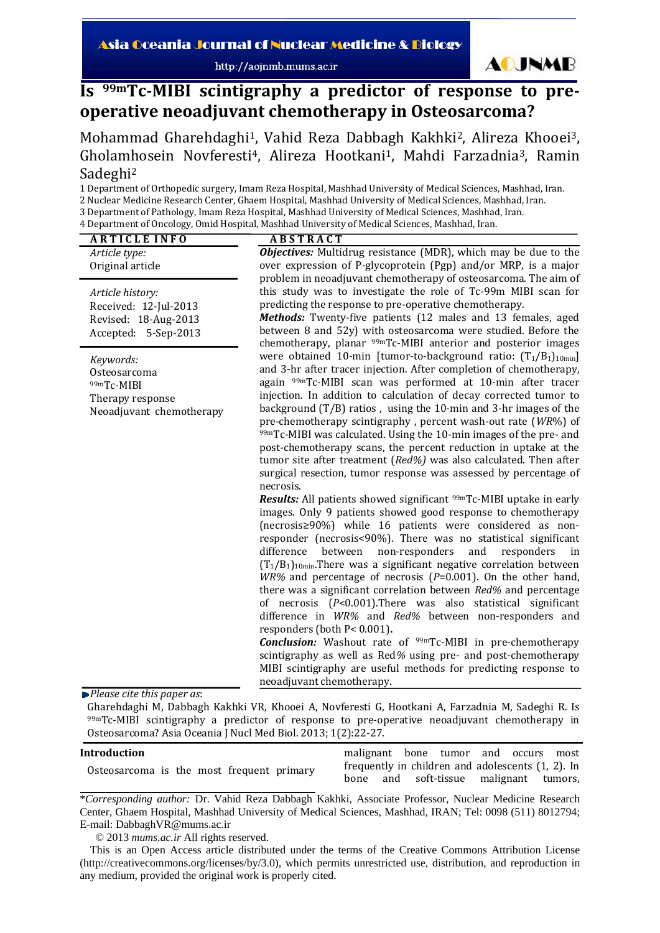http://aojnmb.mums.ac.ir



# **Is 99mTcMIBI scintigraphy a predictor of response to preoperative neoadjuvant chemotherapy in Osteosarcoma?**

Mohammad Gharehdaghi<sup>1</sup>, Vahid Reza Dabbagh Kakhki<sup>2</sup>, Alireza Khooei<sup>3</sup>, Gholamhosein Novferesti<sup>4</sup>, Alireza Hootkani<sup>1</sup>, Mahdi Farzadnia<sup>3</sup>, Ramin Sadeghi2

1 Department of Orthopedic surgery, Imam Reza Hospital, Mashhad University of Medical Sciences, Mashhad, Iran.

2 Nuclear Medicine Research Center, Ghaem Hospital, Mashhad University of Medical Sciences, Mashhad, Iran.

3 Department of Pathology, Imam Reza Hospital, Mashhad University of Medical Sciences, Mashhad, Iran.

4 Department of Oncology, Omid Hospital, Mashhad University of Medical Sciences, Mashhad, Iran.

| <b>ABSTRACT</b>                                                                                                                                                                                                                                                                                                                                                                                                                                                                                                                                                                                                                                                                                                                                                                                                                                                                                                                                                                                                                                                                                                                                                                                                                                                                                                                                                                                                                                                                                                                                                                                                                                                                                                                    |
|------------------------------------------------------------------------------------------------------------------------------------------------------------------------------------------------------------------------------------------------------------------------------------------------------------------------------------------------------------------------------------------------------------------------------------------------------------------------------------------------------------------------------------------------------------------------------------------------------------------------------------------------------------------------------------------------------------------------------------------------------------------------------------------------------------------------------------------------------------------------------------------------------------------------------------------------------------------------------------------------------------------------------------------------------------------------------------------------------------------------------------------------------------------------------------------------------------------------------------------------------------------------------------------------------------------------------------------------------------------------------------------------------------------------------------------------------------------------------------------------------------------------------------------------------------------------------------------------------------------------------------------------------------------------------------------------------------------------------------|
| <b>Objectives:</b> Multidrug resistance (MDR), which may be due to the<br>over expression of P-glycoprotein (Pgp) and/or MRP, is a major<br>problem in neoadjuvant chemotherapy of osteosarcoma. The aim of                                                                                                                                                                                                                                                                                                                                                                                                                                                                                                                                                                                                                                                                                                                                                                                                                                                                                                                                                                                                                                                                                                                                                                                                                                                                                                                                                                                                                                                                                                                        |
| this study was to investigate the role of Tc-99m MIBI scan for<br>predicting the response to pre-operative chemotherapy.<br>Methods: Twenty-five patients (12 males and 13 females, aged<br>between 8 and 52y) with osteosarcoma were studied. Before the<br>chemotherapy, planar <sup>99m</sup> Tc-MIBI anterior and posterior images                                                                                                                                                                                                                                                                                                                                                                                                                                                                                                                                                                                                                                                                                                                                                                                                                                                                                                                                                                                                                                                                                                                                                                                                                                                                                                                                                                                             |
| were obtained 10-min [tumor-to-background ratio: $(T_1/B_1)_{10min}$ ]<br>and 3-hr after tracer injection. After completion of chemotherapy,<br>again <sup>99m</sup> Tc-MIBI scan was performed at 10-min after tracer<br>injection. In addition to calculation of decay corrected tumor to<br>background $(T/B)$ ratios, using the 10-min and 3-hr images of the<br>pre-chemotherapy scintigraphy, percent wash-out rate (WR%) of<br>99mTc-MIBI was calculated. Using the 10-min images of the pre- and<br>post-chemotherapy scans, the percent reduction in uptake at the<br>tumor site after treatment (Red%) was also calculated. Then after<br>surgical resection, tumor response was assessed by percentage of<br>necrosis.<br><b>Results:</b> All patients showed significant <sup>99m</sup> Tc-MIBI uptake in early<br>images. Only 9 patients showed good response to chemotherapy<br>(necrosis≥90%) while 16 patients were considered as non-<br>responder (necrosis<90%). There was no statistical significant<br>non-responders<br>and<br>difference<br>between<br>responders<br>in<br>$(T_1/B_1)_{10min}$ . There was a significant negative correlation between<br>$WR$ % and percentage of necrosis ( $P=0.001$ ). On the other hand,<br>there was a significant correlation between Red% and percentage<br>of necrosis (P<0.001). There was also statistical significant<br>difference in WR% and Red% between non-responders and<br>responders (both P< 0.001).<br><b>Conclusion:</b> Washout rate of <sup>99m</sup> Tc-MIBI in pre-chemotherapy<br>scintigraphy as well as Red% using pre- and post-chemotherapy<br>MIBI scintigraphy are useful methods for predicting response to<br>neoadjuvant chemotherapy. |
|                                                                                                                                                                                                                                                                                                                                                                                                                                                                                                                                                                                                                                                                                                                                                                                                                                                                                                                                                                                                                                                                                                                                                                                                                                                                                                                                                                                                                                                                                                                                                                                                                                                                                                                                    |

Gharehdaghi M, Dabbagh Kakhki VR, Khooei A, Novferesti G, Hootkani A, Farzadnia M, Sadeghi R. Is 99mTc-MIBI scintigraphy a predictor of response to pre-operative neoadjuvant chemotherapy in Osteosarcoma? Asia Oceania J Nucl Med Biol. 2013; 1(2):22‐27.

| Introduction                              |      |                                                   | malignant bone tumor and occurs most |
|-------------------------------------------|------|---------------------------------------------------|--------------------------------------|
| Osteosarcoma is the most frequent primary |      | frequently in children and adolescents (1, 2). In |                                      |
|                                           | bone | and soft-tissue malignant tumors,                 |                                      |

\**Corresponding author:* Dr. Vahid Reza Dabbagh Kakhki, Associate Professor, Nuclear Medicine Research Center, Ghaem Hospital, Mashhad University of Medical Sciences, Mashhad, IRAN; Tel: 0098 (511) 8012794; E-mail: DabbaghVR@mums.ac.ir

© 2013 *mums.ac.ir* All rights reserved.

This is an Open Access article distributed under the terms of the Creative Commons Attribution License (http://creativecommons.org/licenses/by/3.0), which permits unrestricted use, distribution, and reproduction in any medium, provided the original work is properly cited.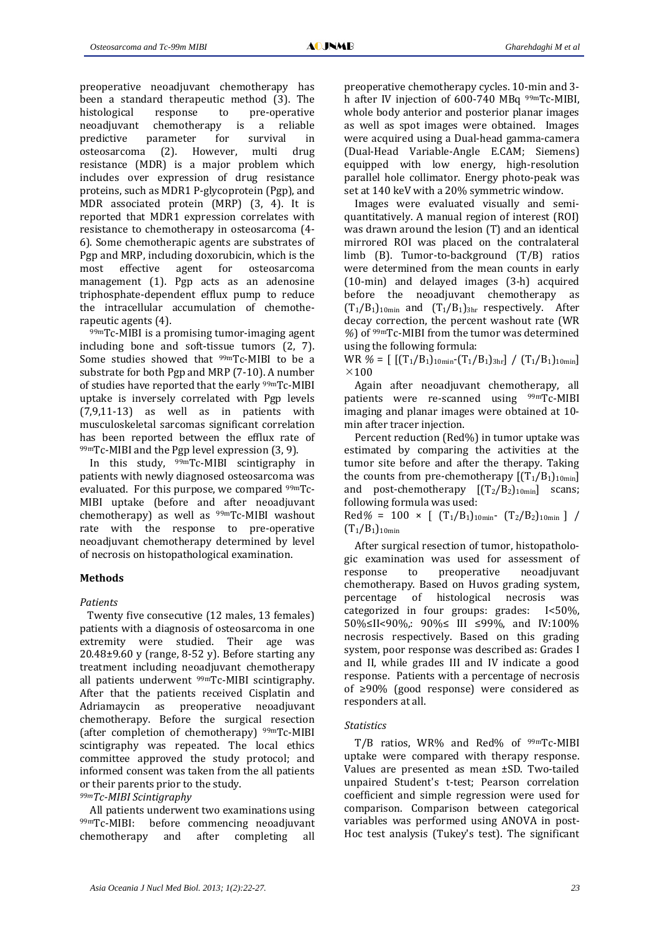preoperative neoadjuvant chemotherapy has been a standard therapeutic method (3). The histological response to pre-operative neoadjuvant chemotherapy is a reliable predictive parameter for survival in osteosarcoma (2). However, multi drug resistance (MDR) is a major problem which includes over expression of drug resistance proteins, such as MDR1 P‐glycoprotein (Pgp), and MDR associated protein (MRP) (3, 4). It is reported that MDR1 expression correlates with resistance to chemotherapy in osteosarcoma (4‐ 6). Some chemotherapic agents are substrates of Pgp and MRP, including doxorubicin, which is the most effective agent for osteosarcoma management (1). Pgp acts as an adenosine triphosphate‐dependent efflux pump to reduce the intracellular accumulation of chemothe‐ rapeutic agents (4).

99mTc‐MIBI is a promising tumor‐imaging agent including bone and soft-tissue tumors (2, 7). Some studies showed that <sup>99m</sup>Tc-MIBI to be a substrate for both Pgp and MRP (7‐10). A number of studies have reported that the early 99mTc‐MIBI uptake is inversely correlated with Pgp levels  $(7,9,11-13)$  as well as in patients with musculoskeletal sarcomas significant correlation has been reported between the efflux rate of  $99mTc$ -MIBI and the Pgp level expression (3, 9).

In this study,  $99mTc$ -MIBI scintigraphy in patients with newly diagnosed osteosarcoma was evaluated. For this purpose, we compared 99mTc‐ MIBI uptake (before and after neoadjuvant chemotherapy) as well as <sup>99m</sup>Tc-MIBI washout rate with the response to pre-operative neoadjuvant chemotherapy determined by level of necrosis on histopathological examination.

# **Methods**

# *Patients*

Twenty five consecutive (12 males, 13 females) patients with a diagnosis of osteosarcoma in one extremity were studied. Their age was  $20.48\pm9.60$  y (range, 8-52 y). Before starting any treatment including neoadjuvant chemotherapy all patients underwent 99mTc‐MIBI scintigraphy. After that the patients received Cisplatin and Adriamaycin as preoperative neoadjuvant chemotherapy. Before the surgical resection (after completion of chemotherapy)  $99mTc$ -MIBI scintigraphy was repeated. The local ethics committee approved the study protocol; and informed consent was taken from the all patients or their parents prior to the study.

# *99mTcMIBI Scintigraphy*

All patients underwent two examinations using 99mTc‐MIBI: before commencing neoadjuvant chemotherapy and after completing all

preoperative chemotherapy cycles. 10‐min and 3‐ h after IV injection of 600-740 MBq <sup>99m</sup>Tc-MIBI, whole body anterior and posterior planar images as well as spot images were obtained. Images were acquired using a Dual‐head gamma‐camera (Dual‐Head Variable‐Angle E.CAM; Siemens) equipped with low energy, high‐resolution parallel hole collimator. Energy photo‐peak was set at 140 keV with a 20% symmetric window.

Images were evaluated visually and semi‐ quantitatively. A manual region of interest (ROI) was drawn around the lesion (T) and an identical mirrored ROI was placed on the contralateral limb (B). Tumor‐to‐background (T/B) ratios were determined from the mean counts in early (10‐min) and delayed images (3‐h) acquired before the neoadjuvant chemotherapy as  $(T_1/B_1)_{10min}$  and  $(T_1/B_1)_{3hr}$  respectively. After decay correction, the percent washout rate (WR *%*) of 99mTc‐MIBI from the tumor was determined using the following formula:

WR  $\mathcal{U} = \left[ \left[ (T_1/B_1)_{10min} - (T_1/B_1)_{3hr} \right] / (T_1/B_1)_{10min} \right]$  $\times$ 100

Again after neoadjuvant chemotherapy, all patients were re-scanned using <sup>99m</sup>Tc-MIBI imaging and planar images were obtained at 10‐ min after tracer injection.

Percent reduction (Red%) in tumor uptake was estimated by comparing the activities at the tumor site before and after the therapy. Taking the counts from pre-chemotherapy  $[(T_1/B_1)_{10min}]$ and post-chemotherapy  $[(T_2/B_2)_{10min}]$  scans; following formula was used:

Red% =  $100 \times$  [  $(T_1/B_1)_{10min}$   $(T_2/B_2)_{10min}$  ] /  $(T_1/B_1)_{10min}$ 

After surgical resection of tumor, histopatholo‐ gic examination was used for assessment of response to preoperative neoadjuvant chemotherapy. Based on Huvos grading system, percentage of histological necrosis was categorized in four groups: grades: I<50%, 50%≤II<90%,: 90%≤ III ≤99%, and IV:100% necrosis respectively. Based on this grading system, poor response was described as: Grades I and II, while grades III and IV indicate a good response. Patients with a percentage of necrosis of ≥90% (good response) were considered as responders at all.

## *Statistics*

T/B ratios, WR% and Red% of <sup>99m</sup>Tc-MIBI uptake were compared with therapy response. Values are presented as mean ±SD. Two-tailed unpaired Student's t‐test; Pearson correlation coefficient and simple regression were used for comparison. Comparison between categorical variables was performed using ANOVA in post‐ Hoc test analysis (Tukey's test). The significant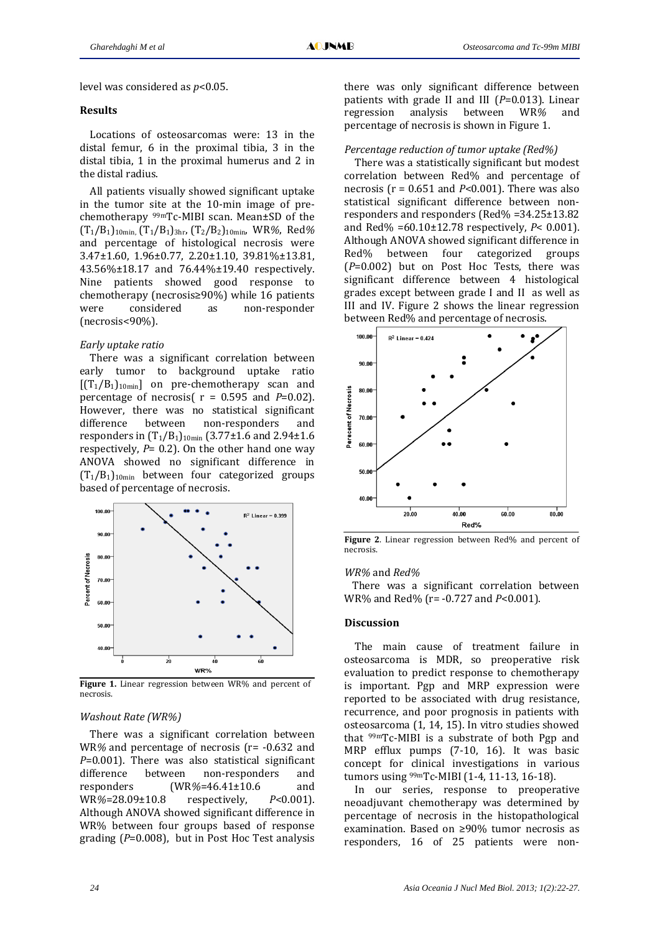level was considered as *p*<0.05.

#### **Results**

Locations of osteosarcomas were: 13 in the distal femur, 6 in the proximal tibia, 3 in the distal tibia, 1 in the proximal humerus and 2 in the distal radius.

All patients visually showed significant uptake in the tumor site at the 10‐min image of pre‐ chemotherapy <sup>99m</sup>Tc-MIBI scan. Mean±SD of the (T1/B1)10min, (T1/B1)3hr, (T2/B2)10min, WR*%*, Red*%* and percentage of histological necrosis were 3.47±1.60, 1.96±0.77, 2.20±1.10, 39.81%±13.81, 43.56%±18.17 and 76.44%±19.40 respectively. Nine patients showed good response to chemotherapy (necrosis≥90%) while 16 patients were considered as non-responder (necrosis<90%).

#### *Early uptake ratio*

There was a significant correlation between early tumor to background uptake ratio  $[(T_1/B_1)_{10min}]$  on pre-chemotherapy scan and percentage of necrosis( $r = 0.595$  and  $P=0.02$ ). However, there was no statistical significant difference between non-responders and responders in  $(T_1/B_1)_{10min}$  (3.77±1.6 and 2.94±1.6 respectively, *P*= 0.2). On the other hand one way ANOVA showed no significant difference in  $(T_1/B_1)_{10min}$  between four categorized groups based of percentage of necrosis.



**Figure 1.** Linear regression between WR% and percent of necrosis.

#### *Washout Rate (WR%)*

There was a significant correlation between WR% and percentage of necrosis (r= -0.632 and *P*=0.001). There was also statistical significant difference between non-responders and responders (WR*%*=46.41±10.6 and WR*%*=28.09±10.8 respectively, *P*<0.001). Although ANOVA showed significant difference in WR% between four groups based of response grading (*P*=0.008), but in Post Hoc Test analysis

there was only significant difference between patients with grade II and III (*P*=0.013). Linear regression analysis between WR*%* and percentage of necrosis is shown in Figure 1.

#### *Percentage reduction of tumor uptake (Red%)*

There was a statistically significant but modest correlation between Red% and percentage of necrosis ( $r = 0.651$  and  $P < 0.001$ ). There was also statistical significant difference between non‐ responders and responders (Red% =34.25±13.82 and Red% =60.10±12.78 respectively, *P*< 0.001). Although ANOVA showed significant difference in Red% between four categorized groups (*P*=0.002) but on Post Hoc Tests, there was significant difference between 4 histological grades except between grade I and II as well as III and IV. Figure 2 shows the linear regression between Red% and percentage of necrosis.



**Figure 2**. Linear regression between Red% and percent of necrosis.

#### *WR%* and *Red%*

There was a significant correlation between WR% and Red% (r= ‐0.727 and *P*<0.001).

### **Discussion**

The main cause of treatment failure in osteosarcoma is MDR, so preoperative risk evaluation to predict response to chemotherapy is important. Pgp and MRP expression were reported to be associated with drug resistance, recurrence, and poor prognosis in patients with osteosarcoma (1, 14, 15). In vitro studies showed that  $99mTc$ -MIBI is a substrate of both Pgp and MRP efflux pumps (7-10, 16). It was basic concept for clinical investigations in various tumors using 99mTc‐MIBI (1‐4, 11‐13, 16‐18).

In our series, response to preoperative neoadjuvant chemotherapy was determined by percentage of necrosis in the histopathological examination. Based on ≥90% tumor necrosis as responders, 16 of 25 patients were non‐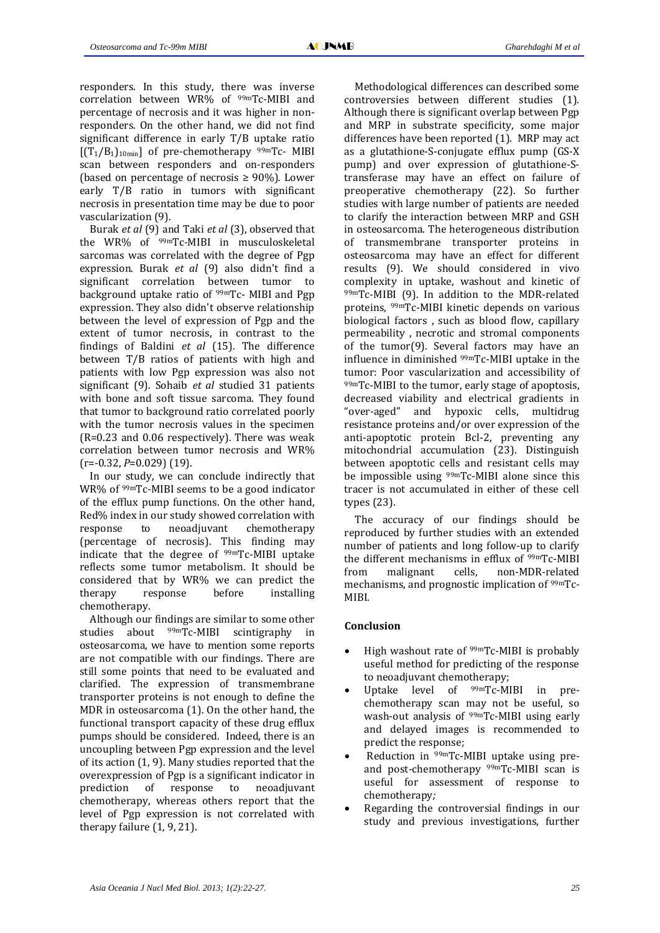responders. In this study, there was inverse correlation between WR% of <sup>99m</sup>Tc-MIBI and percentage of necrosis and it was higher in non‐ responders. On the other hand, we did not find significant difference in early T/B uptake ratio  $[(T_1/B_1)_{10min}]$  of pre-chemotherapy  $99mTc$ - MIBI scan between responders and on‐responders (based on percentage of necrosis  $\geq 90\%$ ). Lower early T/B ratio in tumors with significant necrosis in presentation time may be due to poor vascularization (9).

Burak *et al* (9) and Taki *et al* (3), observed that the WR% of 99mTc‐MIBI in musculoskeletal sarcomas was correlated with the degree of Pgp expression. Burak *et al* (9) also didn't find a significant correlation between tumor to background uptake ratio of 99mTc‐ MIBI and Pgp expression. They also didn't observe relationship between the level of expression of Pgp and the extent of tumor necrosis, in contrast to the findings of Baldini *et al* (15). The difference between T/B ratios of patients with high and patients with low Pgp expression was also not significant (9). Sohaib *et al* studied 31 patients with bone and soft tissue sarcoma. They found that tumor to background ratio correlated poorly with the tumor necrosis values in the specimen  $(R=0.23$  and  $0.06$  respectively). There was weak correlation between tumor necrosis and WR% (r=‐0.32, *P*=0.029) (19).

In our study, we can conclude indirectly that WR% of <sup>99m</sup>Tc-MIBI seems to be a good indicator of the efflux pump functions. On the other hand, Red% index in our study showed correlation with response to neoadjuvant chemotherapy (percentage of necrosis). This finding may indicate that the degree of 99mTc‐MIBI uptake reflects some tumor metabolism. It should be considered that by WR% we can predict the therapy response before installing chemotherapy.

Although our findings are similar to some other studies about <sup>99m</sup>Tc-MIBI scintigraphy in osteosarcoma, we have to mention some reports are not compatible with our findings. There are still some points that need to be evaluated and clarified. The expression of transmembrane transporter proteins is not enough to define the MDR in osteosarcoma (1). On the other hand, the functional transport capacity of these drug efflux pumps should be considered. Indeed, there is an uncoupling between Pgp expression and the level of its action (1, 9). Many studies reported that the overexpression of Pgp is a significant indicator in prediction of response to neoadjuvant chemotherapy, whereas others report that the level of Pgp expression is not correlated with therapy failure (1, 9, 21).

Methodological differences can described some controversies between different studies (1). Although there is significant overlap between Pgp and MRP in substrate specificity, some major differences have been reported (1). MRP may act as a glutathione‐S‐conjugate efflux pump (GS‐X pump) and over expression of glutathione‐S‐ transferase may have an effect on failure of preoperative chemotherapy (22). So further studies with large number of patients are needed to clarify the interaction between MRP and GSH in osteosarcoma. The heterogeneous distribution of transmembrane transporter proteins in osteosarcoma may have an effect for different results (9). We should considered in vivo complexity in uptake, washout and kinetic of 99mTc-MIBI (9). In addition to the MDR-related proteins, <sup>99m</sup>Tc-MIBI kinetic depends on various biological factors , such as blood flow, capillary permeability, necrotic and stromal components of the tumor(9). Several factors may have an influence in diminished 99mTc‐MIBI uptake in the tumor: Poor vascularization and accessibility of 99mTc-MIBI to the tumor, early stage of apoptosis, decreased viability and electrical gradients in "over‐aged" and hypoxic cells, multidrug resistance proteins and/or over expression of the anti‐apoptotic protein Bcl‐2, preventing any mitochondrial accumulation (23). Distinguish between apoptotic cells and resistant cells may be impossible using  $99mTc$ -MIBI alone since this tracer is not accumulated in either of these cell types (23).

The accuracy of our findings should be reproduced by further studies with an extended number of patients and long follow‐up to clarify the different mechanisms in efflux of <sup>99m</sup>Tc-MIBI from malignant cells, non-MDR-related mechanisms, and prognostic implication of <sup>99mT</sup>c-MIBI.

# **Conclusion**

- High washout rate of  $99mTc$ -MIBI is probably useful method for predicting of the response to neoadjuvant chemotherapy;
- Uptake level of <sup>99m</sup>Tc-MIBI in prechemotherapy scan may not be useful, so wash-out analysis of <sup>99m</sup>Tc-MIBI using early and delayed images is recommended to predict the response;
- Reduction in  $99mTc$ -MIBI uptake using preand post-chemotherapy  $99mTc$ -MIBI scan is useful for assessment of response to chemotherapy*;*
- Regarding the controversial findings in our study and previous investigations, further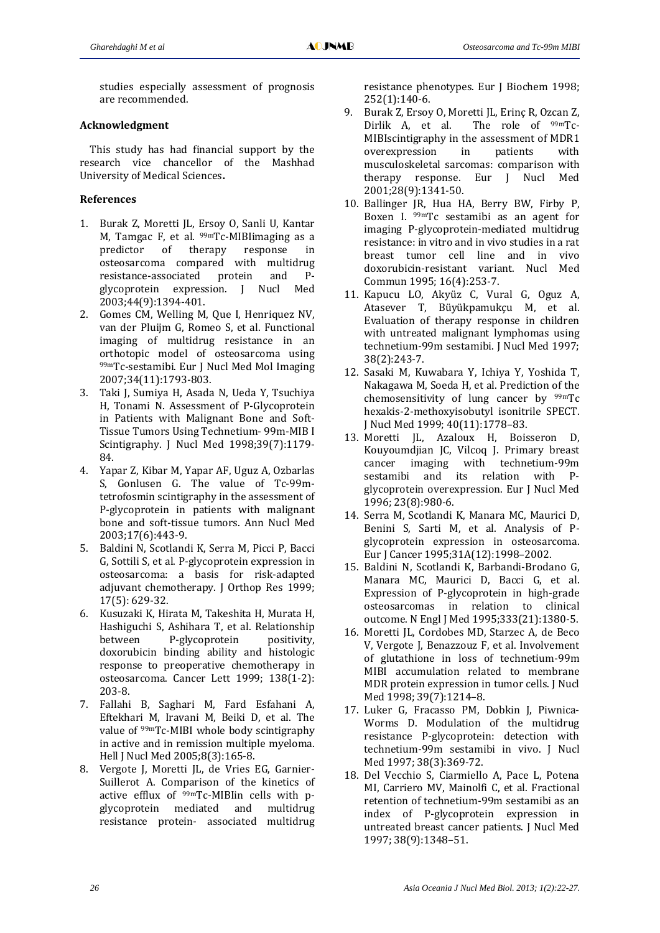studies especially assessment of prognosis are recommended.

## **Acknowledgment**

This study has had financial support by the research vice chancellor of the Mashhad University of Medical Sciences**.** 

## **References**

- 1. Burak Z, Moretti JL, Ersoy O, Sanli U, Kantar M, Tamgac F, et al.  $99mTc$ -MIBIimaging as a predictor of therapy response in osteosarcoma compared with multidrug resistance‐associated protein and P‐ glycoprotein expression. J Nucl Med 2003;44(9):1394‐401.
- 2. Gomes CM, Welling M, Que I, Henriquez NV, van der Pluijm G, Romeo S, et al. Functional imaging of multidrug resistance in an orthotopic model of osteosarcoma using 99mTc-sestamibi. Eur J Nucl Med Mol Imaging 2007;34(11):1793‐803.
- 3. Taki J, Sumiya H, Asada N, Ueda Y, Tsuchiya H, Tonami N. Assessment of P-Glycoprotein in Patients with Malignant Bone and Soft‐ Tissue Tumors Using Technetium‐ 99m‐MIB I Scintigraphy. J Nucl Med 1998;39(7):1179‐ 84.
- 4. Yapar Z, Kibar M, Yapar AF, Uguz A, Ozbarlas S, Gonlusen G. The value of Tc-99mtetrofosmin scintigraphy in the assessment of P‐glycoprotein in patients with malignant bone and soft‐tissue tumors. Ann Nucl Med 2003;17(6):443‐9.
- 5. Baldini N, Scotlandi K, Serra M, Picci P, Bacci G, Sottili S, et al. P‐glycoprotein expression in osteosarcoma: a basis for risk‐adapted adjuvant chemotherapy. J Orthop Res 1999; 17(5): 629‐32.
- 6. Kusuzaki K, Hirata M, Takeshita H, Murata H, Hashiguchi S, Ashihara T, et al. Relationship between P-glycoprotein positivity, doxorubicin binding ability and histologic response to preoperative chemotherapy in osteosarcoma. Cancer Lett 1999; 138(1‐2): 203‐8.
- 7. Fallahi B, Saghari M, Fard Esfahani A, Eftekhari M, Iravani M, Beiki D, et al. The value of <sup>99m</sup>Tc-MIBI whole body scintigraphy in active and in remission multiple myeloma. Hell J Nucl Med 2005;8(3):165‐8.
- 8. Vergote J, Moretti JL, de Vries EG, Garnier-Suillerot A. Comparison of the kinetics of active efflux of  $99mTc$ -MIBIin cells with pglycoprotein mediated and multidrug resistance protein‐ associated multidrug

resistance phenotypes. Eur J Biochem 1998; 252(1):140‐6.

- 9. Burak Z, Ersoy O, Moretti JL, Erinç R, Ozcan Z, Dirlik A, et al. The role of <sup>99m</sup>Tc-MIBIscintigraphy in the assessment of MDR1 overexpression in patients with musculoskeletal sarcomas: comparison with therapy response. Eur J Nucl Med 2001;28(9):1341‐50.
- 10. Ballinger JR, Hua HA, Berry BW, Firby P, Boxen I. <sup>99m</sup>Tc sestamibi as an agent for imaging P‐glycoprotein‐mediated multidrug resistance: in vitro and in vivo studies in a rat breast tumor cell line and in vivo doxorubicin‐resistant variant. Nucl Med Commun 1995; 16(4):253‐7.
- 11. Kapucu LO, Akyüz C, Vural G, Oguz A, Atasever T, Büyükpamukçu M, et al. Evaluation of therapy response in children with untreated malignant lymphomas using technetium‐99m sestamibi. J Nucl Med 1997; 38(2):243‐7.
- 12. Sasaki M, Kuwabara Y, Ichiya Y, Yoshida T, Nakagawa M, Soeda H, et al. Prediction of the chemosensitivity of lung cancer by  $99mTc$ hexakis‐2‐methoxyisobutyl isonitrile SPECT. J Nucl Med 1999; 40(11):1778–83.
- 13. Moretti JL, Azaloux H, Boisseron D, Kouyoumdjian JC, Vilcoq J. Primary breast cancer imaging with technetium‐99m sestamibi and its relation with Pglycoprotein overexpression. Eur J Nucl Med 1996; 23(8):980‐6.
- 14. Serra M, Scotlandi K, Manara MC, Maurici D, Benini S, Sarti M, et al. Analysis of Pglycoprotein expression in osteosarcoma. Eur J Cancer 1995;31A(12):1998–2002.
- 15. Baldini N, Scotlandi K, Barbandi‐Brodano G, Manara MC, Maurici D, Bacci G, et al. Expression of P‐glycoprotein in high‐grade osteosarcomas in relation to clinical outcome. N Engl J Med 1995;333(21):1380‐5.
- 16. Moretti JL, Cordobes MD, Starzec A, de Beco V, Vergote J, Benazzouz F, et al. Involvement of glutathione in loss of technetium‐99m MIBI accumulation related to membrane MDR protein expression in tumor cells. J Nucl Med 1998; 39(7):1214–8.
- 17. Luker G, Fracasso PM, Dobkin J, Piwnica-Worms D. Modulation of the multidrug resistance P‐glycoprotein: detection with technetium-99m sestamibi in vivo. I Nucl Med 1997; 38(3):369‐72.
- 18. Del Vecchio S, Ciarmiello A, Pace L, Potena MI, Carriero MV, Mainolfi C, et al. Fractional retention of technetium‐99m sestamibi as an index of P‐glycoprotein expression in untreated breast cancer patients. J Nucl Med 1997; 38(9):1348–51.